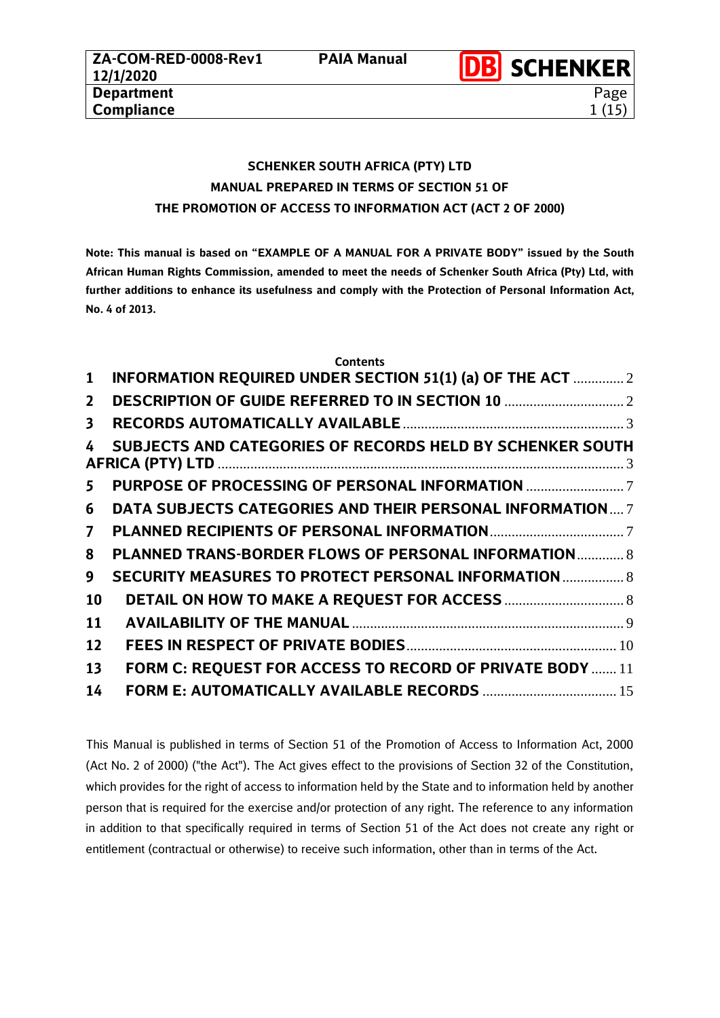# **SCHENKER SOUTH AFRICA (PTY) LTD MANUAL PREPARED IN TERMS OF SECTION 51 OF THE PROMOTION OF ACCESS TO INFORMATION ACT (ACT 2 OF 2000)**

**Note: This manual is based on "EXAMPLE OF A MANUAL FOR A PRIVATE BODY" issued by the South African Human Rights Commission, amended to meet the needs of Schenker South Africa (Pty) Ltd, with further additions to enhance its usefulness and comply with the Protection of Personal Information Act, No. 4 of 2013.**

|                | <b>Contents</b>                                                  |  |
|----------------|------------------------------------------------------------------|--|
| $\mathbf{1}$   | INFORMATION REQUIRED UNDER SECTION 51(1) (a) OF THE ACT  2       |  |
| $\mathbf{2}$   |                                                                  |  |
| 3              |                                                                  |  |
| 4              | SUBJECTS AND CATEGORIES OF RECORDS HELD BY SCHENKER SOUTH        |  |
| 5              | PURPOSE OF PROCESSING OF PERSONAL INFORMATION                    |  |
| 6              | <b>DATA SUBJECTS CATEGORIES AND THEIR PERSONAL INFORMATION 7</b> |  |
| $\overline{7}$ |                                                                  |  |
| 8              | <b>PLANNED TRANS-BORDER FLOWS OF PERSONAL INFORMATION 8</b>      |  |
| 9              | <b>SECURITY MEASURES TO PROTECT PERSONAL INFORMATION  8</b>      |  |
| 10             |                                                                  |  |
| 11             |                                                                  |  |
| 12             |                                                                  |  |
| 13             | FORM C: REQUEST FOR ACCESS TO RECORD OF PRIVATE BODY  11         |  |
| 14             | FORM E: AUTOMATICALLY AVAILABLE RECORDS  15                      |  |

This Manual is published in terms of Section 51 of the Promotion of Access to Information Act, 2000 (Act No. 2 of 2000) ("the Act"). The Act gives effect to the provisions of Section 32 of the Constitution, which provides for the right of access to information held by the State and to information held by another person that is required for the exercise and/or protection of any right. The reference to any information in addition to that specifically required in terms of Section 51 of the Act does not create any right or entitlement (contractual or otherwise) to receive such information, other than in terms of the Act.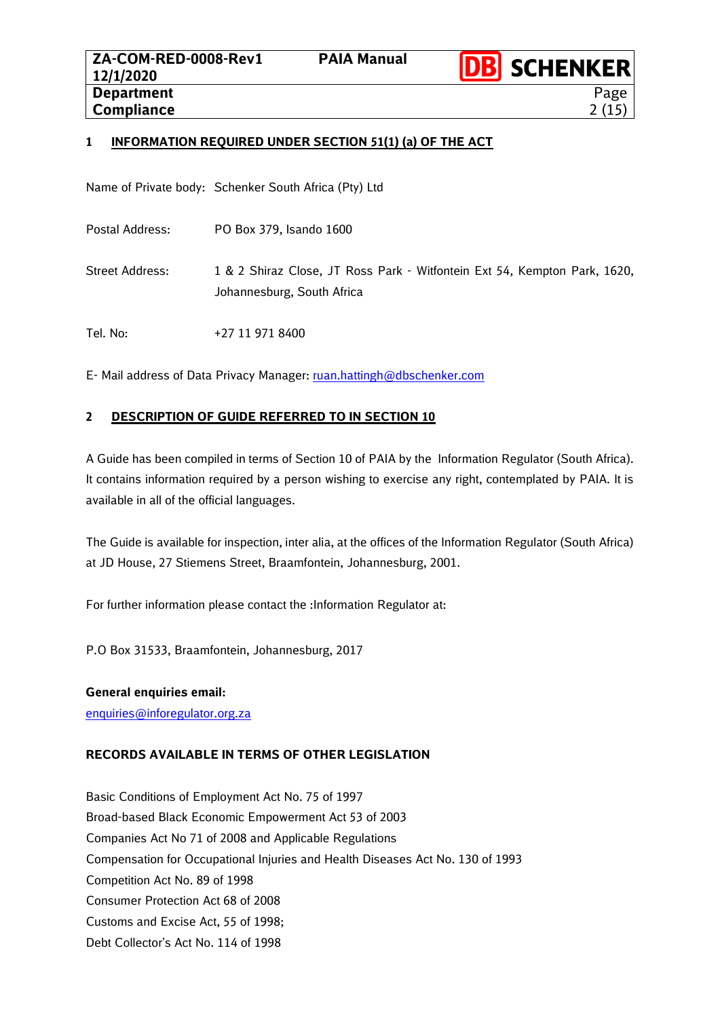

Page  $2(15)$ 

# <span id="page-1-0"></span>**1 INFORMATION REQUIRED UNDER SECTION 51(1) (a) OF THE ACT**

Name of Private body: Schenker South Africa (Pty) Ltd

- Postal Address: PO Box 379, Isando 1600
- Street Address: 1 & 2 Shiraz Close, JT Ross Park Witfontein Ext 54, Kempton Park, 1620, Johannesburg, South Africa

Tel. No: +27 11 971 8400

E- Mail address of Data Privacy Manager[: ruan.hattingh@dbschenker.com](mailto:ruan.hattingh@dbschenker.com)

# <span id="page-1-1"></span>**2 DESCRIPTION OF GUIDE REFERRED TO IN SECTION 10**

A Guide has been compiled in terms of Section 10 of PAIA by the Information Regulator (South Africa). It contains information required by a person wishing to exercise any right, contemplated by PAIA. It is available in all of the official languages.

The Guide is available for inspection, inter alia, at the offices of the Information Regulator (South Africa) at JD House, 27 Stiemens Street, Braamfontein, Johannesburg, 2001.

For further information please contact the : Information Regulator at:

P.O Box 31533, Braamfontein, Johannesburg, 2017

# **General enquiries email:**

[enquiries@inforegulator.org.za](mailto:enquiries@inforegulator.org.za)

# **RECORDS AVAILABLE IN TERMS OF OTHER LEGISLATION**

Basic Conditions of Employment Act No. 75 of 1997 Broad-based Black Economic Empowerment Act 53 of 2003 Companies Act No 71 of 2008 and Applicable Regulations Compensation for Occupational Injuries and Health Diseases Act No. 130 of 1993 Competition Act No. 89 of 1998 Consumer Protection Act 68 of 2008 Customs and Excise Act, 55 of 1998; Debt Collector's Act No. 114 of 1998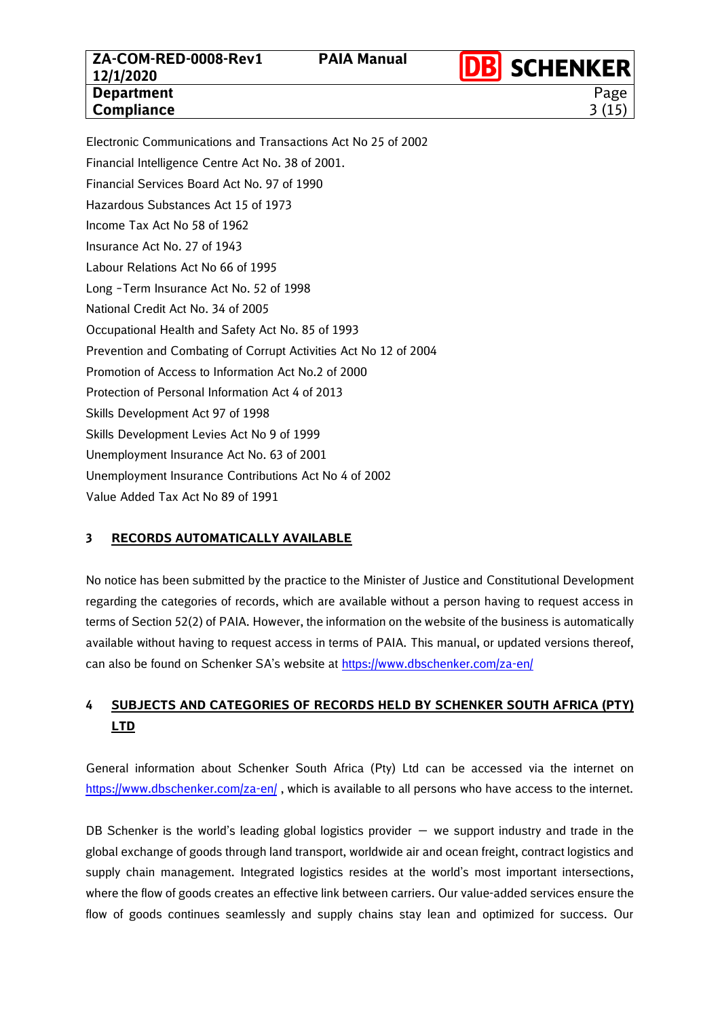**DB** SCHENKER Page 3 (15)

Electronic Communications and Transactions Act No 25 of 2002 Financial Intelligence Centre Act No. 38 of 2001. Financial Services Board Act No. 97 of 1990 Hazardous Substances Act 15 of 1973 Income Tax Act No 58 of 1962 Insurance Act No. 27 of 1943 Labour Relations Act No 66 of 1995 Long –Term Insurance Act No. 52 of 1998 National Credit Act No. 34 of 2005 Occupational Health and Safety Act No. 85 of 1993 Prevention and Combating of Corrupt Activities Act No 12 of 2004 Promotion of Access to Information Act No.2 of 2000 Protection of Personal Information Act 4 of 2013 Skills Development Act 97 of 1998 Skills Development Levies Act No 9 of 1999 Unemployment Insurance Act No. 63 of 2001 Unemployment Insurance Contributions Act No 4 of 2002 Value Added Tax Act No 89 of 1991

# <span id="page-2-0"></span>**3 RECORDS AUTOMATICALLY AVAILABLE**

No notice has been submitted by the practice to the Minister of Justice and Constitutional Development regarding the categories of records, which are available without a person having to request access in terms of Section 52(2) of PAIA. However, the information on the website of the business is automatically available without having to request access in terms of PAIA. This manual, or updated versions thereof, can also be found on Schenker SA's website at <https://www.dbschenker.com/za-en/>

# <span id="page-2-1"></span>**4 SUBJECTS AND CATEGORIES OF RECORDS HELD BY SCHENKER SOUTH AFRICA (PTY) LTD**

General information about Schenker South Africa (Pty) Ltd can be accessed via the internet on <https://www.dbschenker.com/za-en/> , which is available to all persons who have access to the internet.

DB Schenker is the world's leading global logistics provider  $-$  we support industry and trade in the global exchange of goods through land transport, worldwide air and ocean freight, contract logistics and supply chain management. Integrated logistics resides at the world's most important intersections, where the flow of goods creates an effective link between carriers. Our value-added services ensure the flow of goods continues seamlessly and supply chains stay lean and optimized for success. Our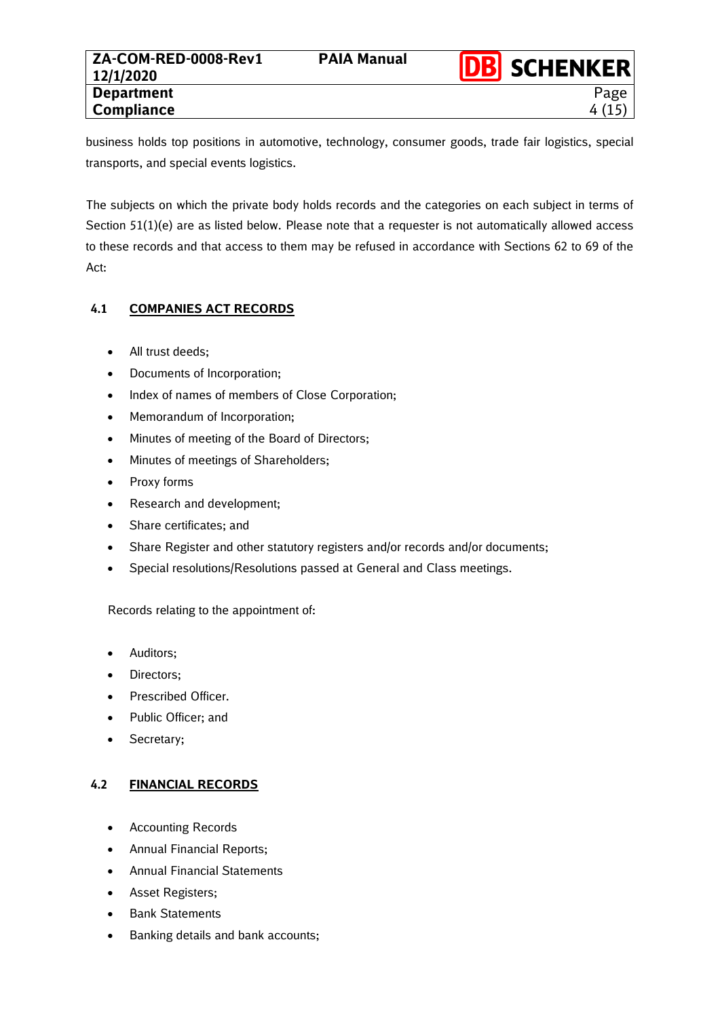business holds top positions in automotive, technology, consumer goods, trade fair logistics, special transports, and special events logistics.

The subjects on which the private body holds records and the categories on each subject in terms of Section 51(1)(e) are as listed below. Please note that a requester is not automatically allowed access to these records and that access to them may be refused in accordance with Sections 62 to 69 of the Act:

# **4.1 COMPANIES ACT RECORDS**

- All trust deeds;
- Documents of Incorporation;
- Index of names of members of Close Corporation;
- Memorandum of Incorporation;
- Minutes of meeting of the Board of Directors;
- Minutes of meetings of Shareholders;
- Proxy forms
- Research and development;
- Share certificates; and
- Share Register and other statutory registers and/or records and/or documents;
- Special resolutions/Resolutions passed at General and Class meetings.

# Records relating to the appointment of:

- Auditors;
- Directors;
- Prescribed Officer.
- Public Officer; and
- Secretary;

# **4.2 FINANCIAL RECORDS**

- Accounting Records
- Annual Financial Reports;
- Annual Financial Statements
- Asset Registers;
- Bank Statements
- Banking details and bank accounts;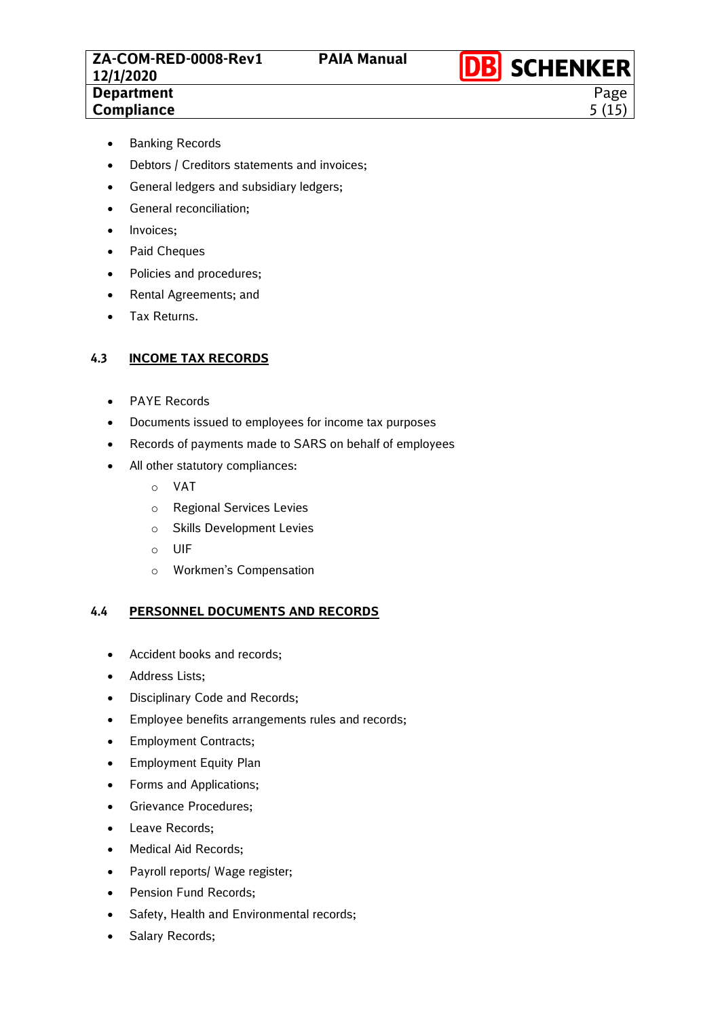Page 5 (15)

- Banking Records
- Debtors / Creditors statements and invoices;
- General ledgers and subsidiary ledgers;
- General reconciliation;
- Invoices:
- Paid Cheques
- Policies and procedures;
- Rental Agreements; and
- Tax Returns.

#### **4.3 INCOME TAX RECORDS**

- PAYE Records
- Documents issued to employees for income tax purposes
- Records of payments made to SARS on behalf of employees
- All other statutory compliances:
	- o VAT
	- o Regional Services Levies
	- o Skills Development Levies
	- o UIF
	- o Workmen's Compensation

## **4.4 PERSONNEL DOCUMENTS AND RECORDS**

- Accident books and records;
- Address Lists;
- Disciplinary Code and Records;
- Employee benefits arrangements rules and records;
- Employment Contracts;
- Employment Equity Plan
- Forms and Applications;
- Grievance Procedures;
- Leave Records;
- Medical Aid Records;
- Payroll reports/ Wage register;
- Pension Fund Records;
- Safety, Health and Environmental records;
- Salary Records;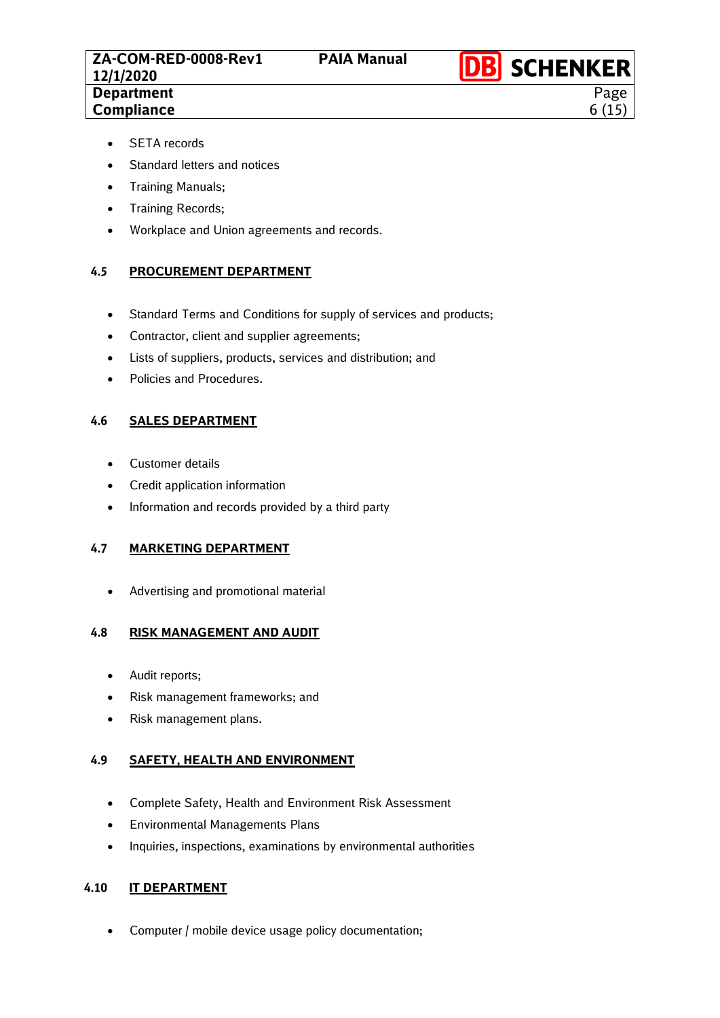Page 6 (15)

- SETA records
- Standard letters and notices
- Training Manuals;
- Training Records;
- Workplace and Union agreements and records.

## **4.5 PROCUREMENT DEPARTMENT**

- Standard Terms and Conditions for supply of services and products;
- Contractor, client and supplier agreements;
- Lists of suppliers, products, services and distribution; and
- Policies and Procedures.

## **4.6 SALES DEPARTMENT**

- Customer details
- Credit application information
- Information and records provided by a third party

## **4.7 MARKETING DEPARTMENT**

• Advertising and promotional material

## **4.8 RISK MANAGEMENT AND AUDIT**

- Audit reports;
- Risk management frameworks; and
- Risk management plans.

## **4.9 SAFETY, HEALTH AND ENVIRONMENT**

- Complete Safety, Health and Environment Risk Assessment
- Environmental Managements Plans
- Inquiries, inspections, examinations by environmental authorities

## **4.10 IT DEPARTMENT**

• Computer / mobile device usage policy documentation;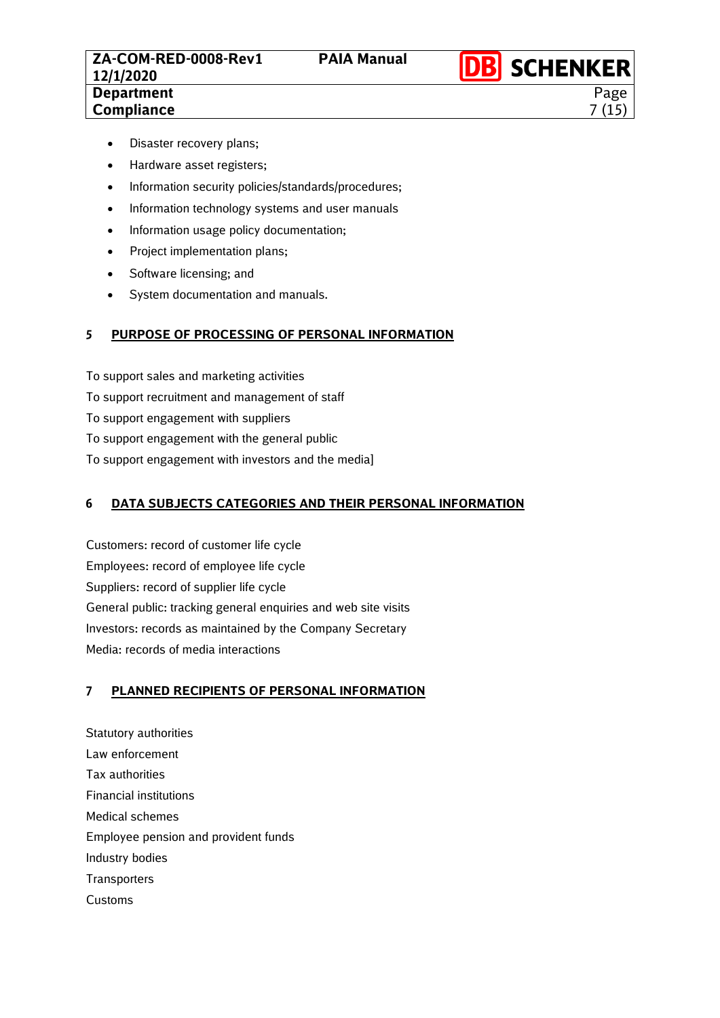**DB** SCHENKER Page 7 (15)

- Disaster recovery plans;
- Hardware asset registers;
- Information security policies/standards/procedures;
- Information technology systems and user manuals
- Information usage policy documentation;
- Project implementation plans;
- Software licensing; and
- System documentation and manuals.

## <span id="page-6-0"></span>**5 PURPOSE OF PROCESSING OF PERSONAL INFORMATION**

To support sales and marketing activities To support recruitment and management of staff To support engagement with suppliers To support engagement with the general public To support engagement with investors and the media]

## <span id="page-6-1"></span>**6 DATA SUBJECTS CATEGORIES AND THEIR PERSONAL INFORMATION**

Customers: record of customer life cycle Employees: record of employee life cycle Suppliers: record of supplier life cycle General public: tracking general enquiries and web site visits Investors: records as maintained by the Company Secretary Media: records of media interactions

## <span id="page-6-2"></span>**7 PLANNED RECIPIENTS OF PERSONAL INFORMATION**

Statutory authorities Law enforcement Tax authorities Financial institutions Medical schemes Employee pension and provident funds Industry bodies **Transporters** Customs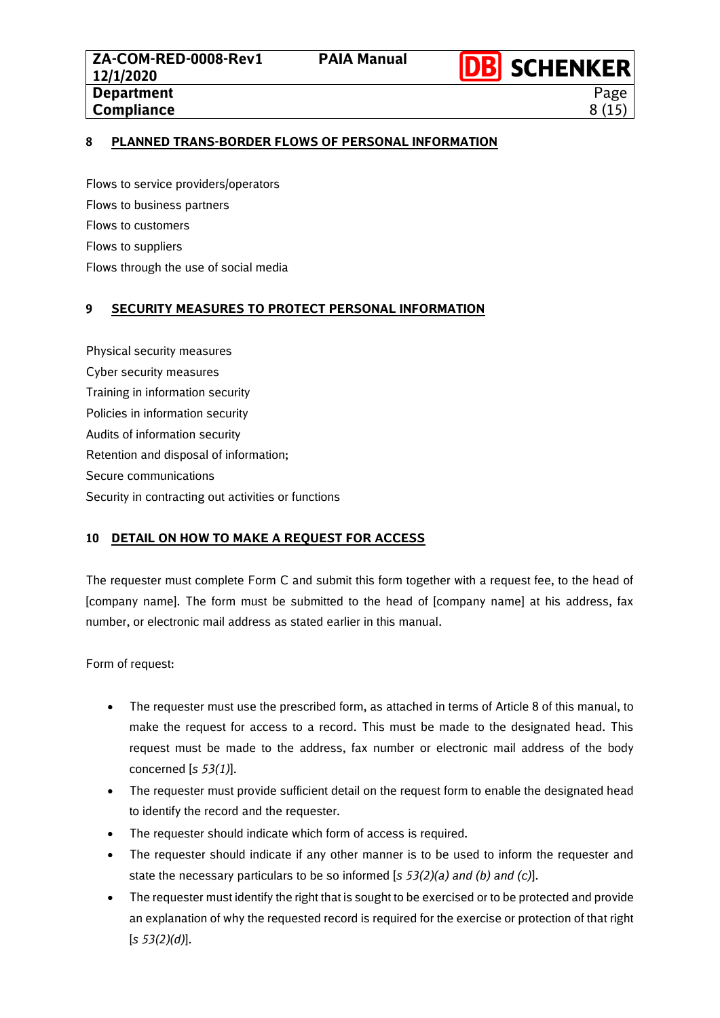**DB** SCHENKER Page 8 (15)

## <span id="page-7-0"></span>**8 PLANNED TRANS-BORDER FLOWS OF PERSONAL INFORMATION**

Flows to service providers/operators Flows to business partners Flows to customers Flows to suppliers Flows through the use of social media

## <span id="page-7-1"></span>**9 SECURITY MEASURES TO PROTECT PERSONAL INFORMATION**

Physical security measures Cyber security measures Training in information security Policies in information security Audits of information security Retention and disposal of information; Secure communications Security in contracting out activities or functions

## <span id="page-7-2"></span>**10 DETAIL ON HOW TO MAKE A REQUEST FOR ACCESS**

The requester must complete Form C and submit this form together with a request fee, to the head of [company name]. The form must be submitted to the head of [company name] at his address, fax number, or electronic mail address as stated earlier in this manual.

Form of request:

- The requester must use the prescribed form, as attached in terms of Article 8 of this manual, to make the request for access to a record. This must be made to the designated head. This request must be made to the address, fax number or electronic mail address of the body concerned [*s 53(1)*].
- The requester must provide sufficient detail on the request form to enable the designated head to identify the record and the requester.
- The requester should indicate which form of access is required.
- The requester should indicate if any other manner is to be used to inform the requester and state the necessary particulars to be so informed [*s 53(2)(a) and (b) and (c)*].
- The requester must identify the right that is sought to be exercised or to be protected and provide an explanation of why the requested record is required for the exercise or protection of that right [*s 53(2)(d)*].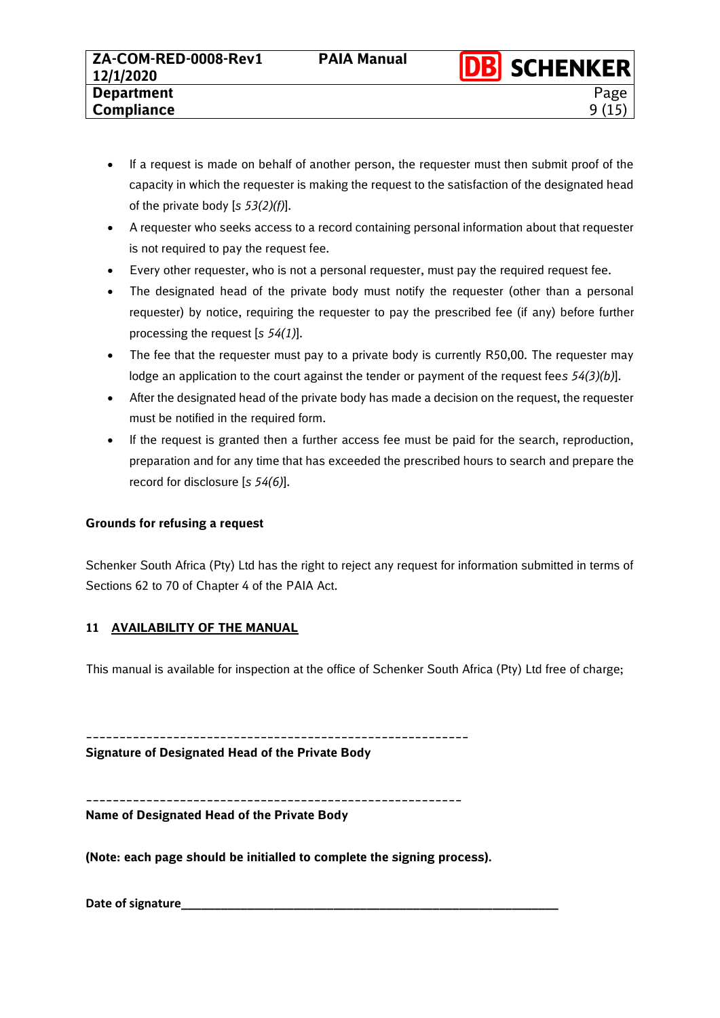9 (15)

- If a request is made on behalf of another person, the requester must then submit proof of the capacity in which the requester is making the request to the satisfaction of the designated head of the private body [*s 53(2)(f)*].
- A requester who seeks access to a record containing personal information about that requester is not required to pay the request fee.
- Every other requester, who is not a personal requester, must pay the required request fee.
- The designated head of the private body must notify the requester (other than a personal requester) by notice, requiring the requester to pay the prescribed fee (if any) before further processing the request [*s 54(1)*].
- The fee that the requester must pay to a private body is currently R50,00. The requester may lodge an application to the court against the tender or payment of the request fee*s 54(3)(b)*].
- After the designated head of the private body has made a decision on the request, the requester must be notified in the required form.
- If the request is granted then a further access fee must be paid for the search, reproduction, preparation and for any time that has exceeded the prescribed hours to search and prepare the record for disclosure [*s 54(6)*].

# **Grounds for refusing a request**

Schenker South Africa (Pty) Ltd has the right to reject any request for information submitted in terms of Sections 62 to 70 of Chapter 4 of the PAIA Act.

# <span id="page-8-0"></span>**11 AVAILABILITY OF THE MANUAL**

This manual is available for inspection at the office of Schenker South Africa (Pty) Ltd free of charge;

**\_\_\_\_\_\_\_\_\_\_\_\_\_\_\_\_\_\_\_\_\_\_\_\_\_\_\_\_\_\_\_\_\_\_\_\_\_\_\_\_\_\_\_\_\_\_\_\_\_\_\_\_\_\_\_\_\_**

**Signature of Designated Head of the Private Body**

**\_\_\_\_\_\_\_\_\_\_\_\_\_\_\_\_\_\_\_\_\_\_\_\_\_\_\_\_\_\_\_\_\_\_\_\_\_\_\_\_\_\_\_\_\_\_\_\_\_\_\_\_\_\_\_\_ Name of Designated Head of the Private Body**

**(Note: each page should be initialled to complete the signing process).**

**Date of signature\_\_\_\_\_\_\_\_\_\_\_\_\_\_\_\_\_\_\_\_\_\_\_\_\_\_\_\_\_\_\_\_\_\_\_\_\_\_\_\_\_\_\_\_\_\_\_\_\_\_\_\_\_\_\_\_\_**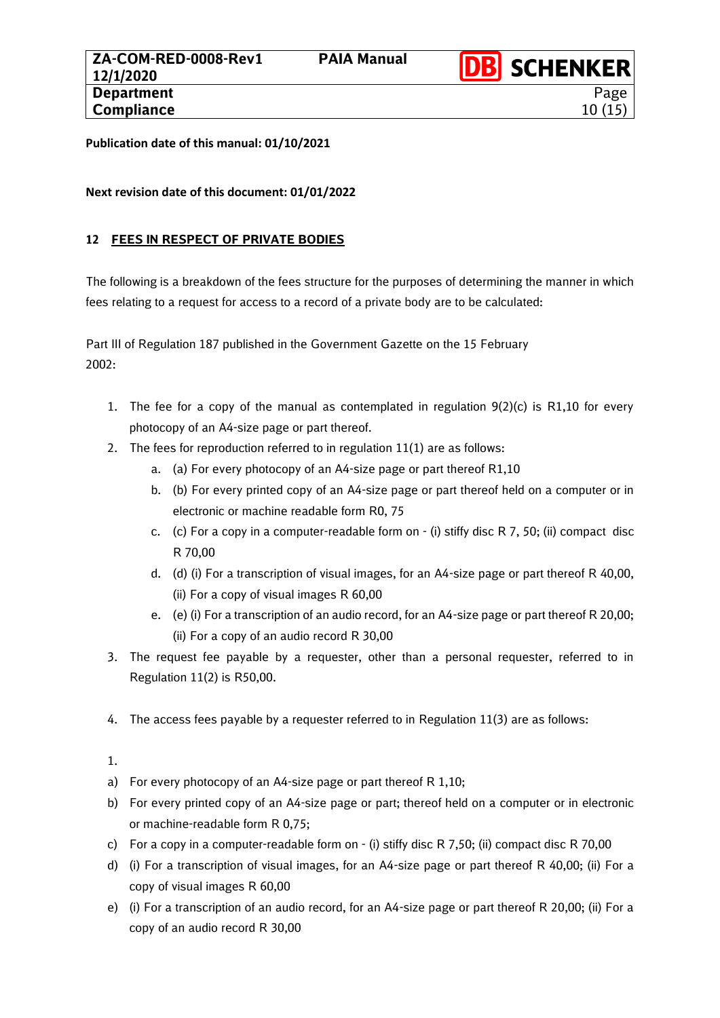**DB** SCHENKER

Page 10 (15)

**Publication date of this manual: 01/10/2021**

**Next revision date of this document: 01/01/2022**

# <span id="page-9-0"></span>**12 FEES IN RESPECT OF PRIVATE BODIES**

The following is a breakdown of the fees structure for the purposes of determining the manner in which fees relating to a request for access to a record of a private body are to be calculated:

Part III of Regulation 187 published in the Government Gazette on the 15 February 2002:

- 1. The fee for a copy of the manual as contemplated in regulation  $9(2)(c)$  is R1,10 for every photocopy of an A4-size page or part thereof.
- 2. The fees for reproduction referred to in regulation 11(1) are as follows:
	- a. (a) For every photocopy of an A4-size page or part thereof R1,10
	- b. (b) For every printed copy of an A4-size page or part thereof held on a computer or in electronic or machine readable form R0, 75
	- c. (c) For a copy in a computer-readable form on (i) stiffy disc R 7, 50; (ii) compact disc R 70,00
	- d. (d) (i) For a transcription of visual images, for an A4-size page or part thereof R 40,00, (ii) For a copy of visual images R 60,00
	- e. (e) (i) For a transcription of an audio record, for an A4-size page or part thereof R 20,00; (ii) For a copy of an audio record R 30,00
- 3. The request fee payable by a requester, other than a personal requester, referred to in Regulation 11(2) is R50,00.
- 4. The access fees payable by a requester referred to in Regulation 11(3) are as follows:

1.

- a) For every photocopy of an A4-size page or part thereof R 1,10;
- b) For every printed copy of an A4-size page or part; thereof held on a computer or in electronic or machine-readable form R 0,75;
- c) For a copy in a computer-readable form on (i) stiffy disc R 7,50; (ii) compact disc R 70,00
- d) (i) For a transcription of visual images, for an A4-size page or part thereof R 40,00; (ii) For a copy of visual images R 60,00
- e) (i) For a transcription of an audio record, for an A4-size page or part thereof R 20,00; (ii) For a copy of an audio record R 30,00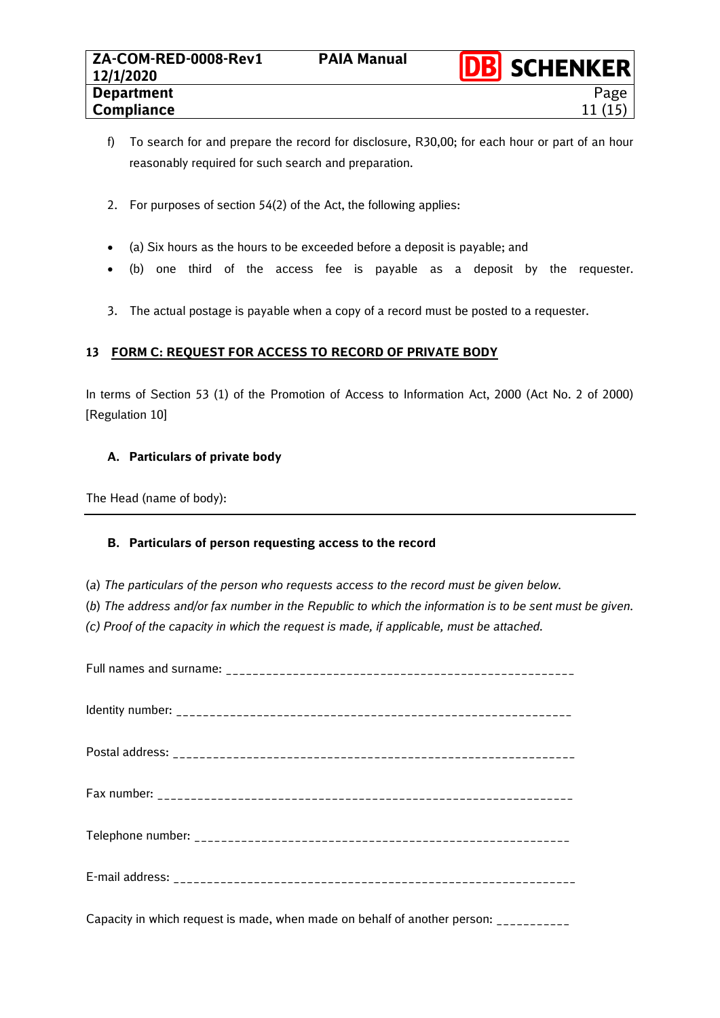- f) To search for and prepare the record for disclosure, R30,00; for each hour or part of an hour reasonably required for such search and preparation.
- 2. For purposes of section 54(2) of the Act, the following applies:
- (a) Six hours as the hours to be exceeded before a deposit is payable; and
- (b) one third of the access fee is payable as a deposit by the requester.
- 3. The actual postage is payable when a copy of a record must be posted to a requester.

# <span id="page-10-0"></span>**13 FORM C: REQUEST FOR ACCESS TO RECORD OF PRIVATE BODY**

In terms of Section 53 (1) of the Promotion of Access to Information Act, 2000 (Act No. 2 of 2000) [Regulation 10]

# **A. Particulars of private body**

The Head (name of body):

# **B. Particulars of person requesting access to the record**

- (*a*) *The particulars of the person who requests access to the record must be given below.*
- (*b*) *The address and/or fax number in the Republic to which the information is to be sent must be given.*
- *(c) Proof of the capacity in which the request is made, if applicable, must be attached.*

Capacity in which request is made, when made on behalf of another person: \_\_\_\_\_\_\_\_\_\_\_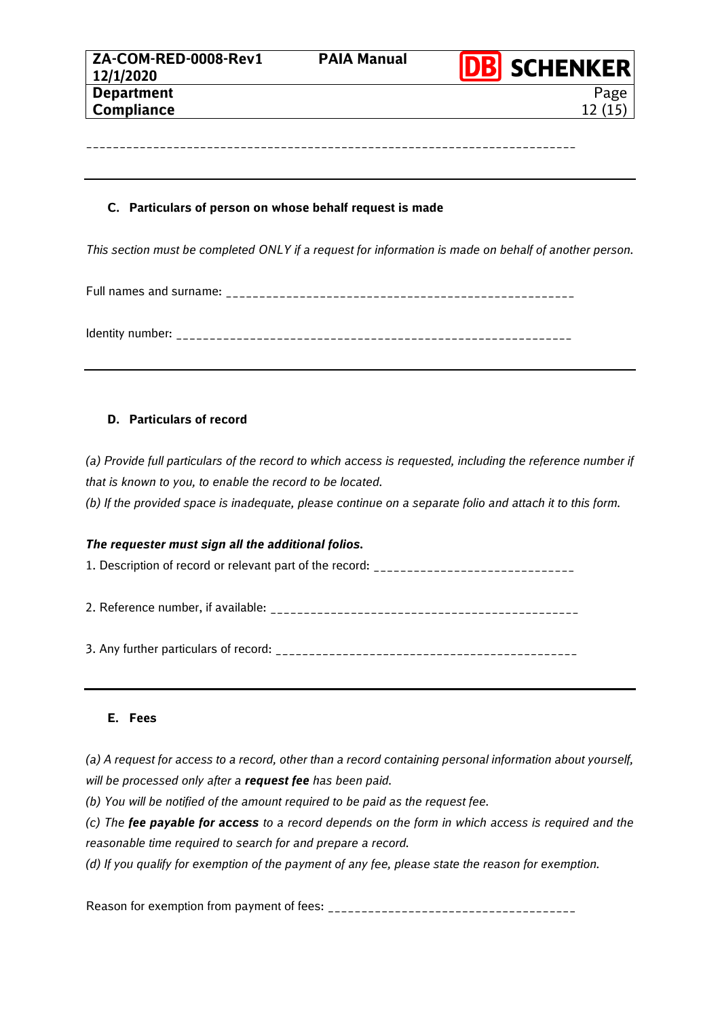\_\_\_\_\_\_\_\_\_\_\_\_\_\_\_\_\_\_\_\_\_\_\_\_\_\_\_\_\_\_\_\_\_\_\_\_\_\_\_\_\_\_\_\_\_\_\_\_\_\_\_\_\_\_\_\_\_\_\_\_\_\_\_\_\_\_\_\_\_\_\_\_\_

Page

#### **C. Particulars of person on whose behalf request is made**

*This section must be completed ONLY if a request for information is made on behalf of another person.*

Full names and surname: \_\_\_\_\_\_\_\_\_\_\_\_\_\_\_\_\_\_\_\_\_\_\_\_\_\_\_\_\_\_\_\_\_\_\_\_\_\_\_\_\_\_\_\_\_\_\_\_\_\_\_\_

Identity number: \_\_\_\_\_\_\_\_\_\_\_\_\_\_\_\_\_\_\_\_\_\_\_\_\_\_\_\_\_\_\_\_\_\_\_\_\_\_\_\_\_\_\_\_\_\_\_\_\_\_\_\_\_\_\_\_\_\_\_

#### **D. Particulars of record**

*(a) Provide full particulars of the record to which access is requested, including the reference number if that is known to you, to enable the record to be located.*

*(b) If the provided space is inadequate, please continue on a separate folio and attach it to this form.*

#### *The requester must sign all the additional folios.*

1. Description of record or relevant part of the record: \_\_\_\_\_\_\_\_\_\_\_\_\_\_\_\_\_\_\_\_\_\_\_\_

2. Reference number, if available: \_\_\_\_\_\_\_\_\_\_\_\_\_\_\_\_\_\_\_\_\_\_\_\_\_\_\_\_\_\_\_\_\_\_\_\_\_\_\_\_\_\_\_\_\_\_

3. Any further particulars of record: \_\_\_\_\_\_\_\_\_\_\_\_\_\_\_\_\_\_\_\_\_\_\_\_\_\_\_\_\_\_\_\_\_\_\_\_\_\_\_\_\_\_\_\_\_

#### **E. Fees**

*(a) A request for access to a record, other than a record containing personal information about yourself, will be processed only after a request fee has been paid.*

*(b) You will be notified of the amount required to be paid as the request fee.*

*(c) The fee payable for access to a record depends on the form in which access is required and the reasonable time required to search for and prepare a record.*

*(d) If you qualify for exemption of the payment of any fee, please state the reason for exemption.*

Reason for exemption from payment of fees: \_\_\_\_\_\_\_\_\_\_\_\_\_\_\_\_\_\_\_\_\_\_\_\_\_\_\_\_\_\_\_\_\_\_\_\_\_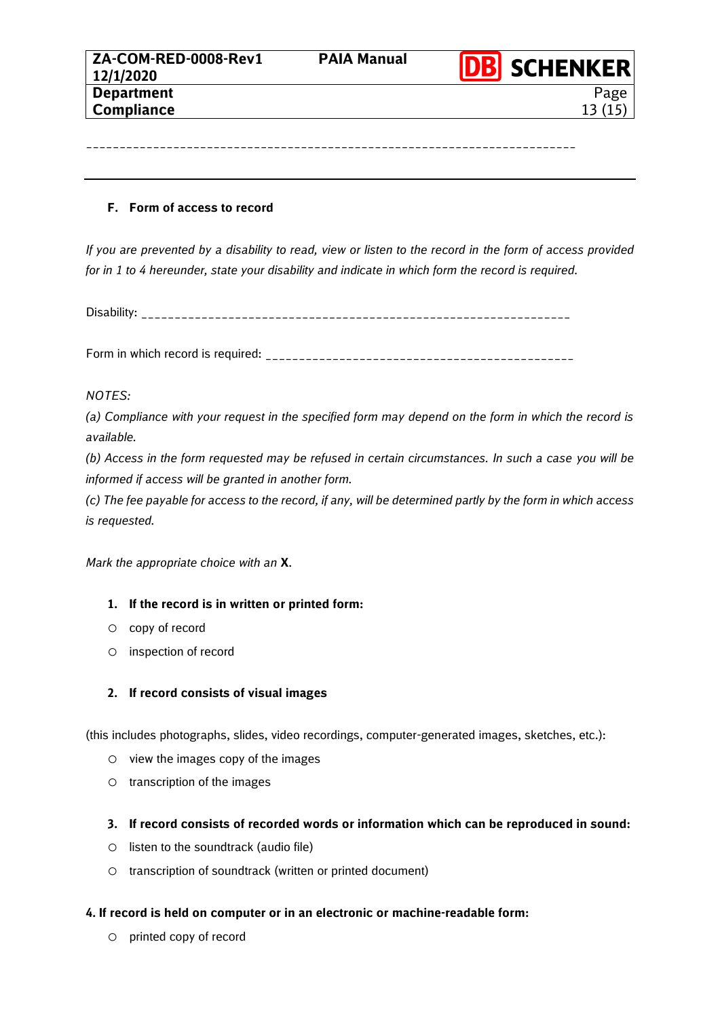\_\_\_\_\_\_\_\_\_\_\_\_\_\_\_\_\_\_\_\_\_\_\_\_\_\_\_\_\_\_\_\_\_\_\_\_\_\_\_\_\_\_\_\_\_\_\_\_\_\_\_\_\_\_\_\_\_\_\_\_\_\_\_\_\_\_\_\_\_\_\_\_\_

#### **F. Form of access to record**

*If you are prevented by a disability to read, view or listen to the record in the form of access provided for in 1 to 4 hereunder, state your disability and indicate in which form the record is required.*

Disability: \_\_\_\_\_\_\_\_\_\_\_\_\_\_\_\_\_\_\_\_\_\_\_\_\_\_\_\_\_\_\_\_\_\_\_\_\_\_\_\_\_\_\_\_\_\_\_\_\_\_\_\_\_\_\_\_\_\_\_\_\_\_\_\_

Form in which record is required: \_\_\_\_\_\_\_\_\_\_\_\_\_\_\_\_\_\_\_\_\_\_\_\_\_\_\_\_\_\_\_\_\_\_\_\_\_\_\_\_\_\_\_\_\_\_

#### *NOTES:*

*(a) Compliance with your request in the specified form may depend on the form in which the record is available.*

*(b) Access in the form requested may be refused in certain circumstances. In such a case you will be informed if access will be granted in another form.*

*(c) The fee payable for access to the record, if any, will be determined partly by the form in which access is requested.*

*Mark the appropriate choice with an* **X**.

## **1. If the record is in written or printed form:**

- o copy of record
- o inspection of record

## **2. If record consists of visual images**

(this includes photographs, slides, video recordings, computer-generated images, sketches, etc.):

- o view the images copy of the images
- o transcription of the images

#### **3. If record consists of recorded words or information which can be reproduced in sound:**

- o listen to the soundtrack (audio file)
- o transcription of soundtrack (written or printed document)

#### **4. If record is held on computer or in an electronic or machine-readable form:**

o printed copy of record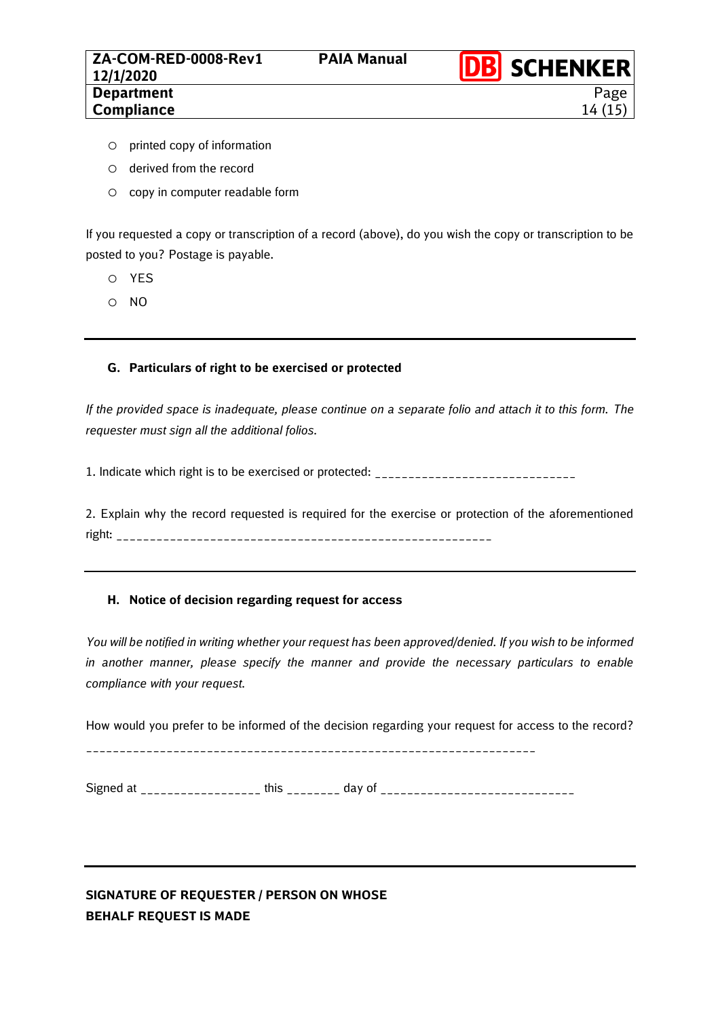14 (15)

- o printed copy of information
- o derived from the record
- o copy in computer readable form

If you requested a copy or transcription of a record (above), do you wish the copy or transcription to be posted to you? Postage is payable.

- o YES
- o NO

#### **G. Particulars of right to be exercised or protected**

*If the provided space is inadequate, please continue on a separate folio and attach it to this form. The requester must sign all the additional folios.*

1. Indicate which right is to be exercised or protected: \_\_\_\_\_\_\_\_\_\_\_\_\_\_\_\_\_\_\_\_\_\_\_\_\_\_\_\_\_\_

2. Explain why the record requested is required for the exercise or protection of the aforementioned right: \_\_\_\_\_\_\_\_\_\_\_\_\_\_\_\_\_\_\_\_\_\_\_\_\_\_\_\_\_\_\_\_\_\_\_\_\_\_\_\_\_\_\_\_\_\_\_\_\_\_\_\_\_\_\_\_

## **H. Notice of decision regarding request for access**

*You will be notified in writing whether your request has been approved/denied. If you wish to be informed in another manner, please specify the manner and provide the necessary particulars to enable compliance with your request.*

How would you prefer to be informed of the decision regarding your request for access to the record? \_\_\_\_\_\_\_\_\_\_\_\_\_\_\_\_\_\_\_\_\_\_\_\_\_\_\_\_\_\_\_\_\_\_\_\_\_\_\_\_\_\_\_\_\_\_\_\_\_\_\_\_\_\_\_\_\_\_\_\_\_\_\_\_\_\_\_

Signed at \_\_\_\_\_\_\_\_\_\_\_\_\_\_\_\_\_\_ this \_\_\_\_\_\_\_\_ day of \_\_\_\_\_\_\_\_\_\_\_\_\_\_\_\_\_\_\_\_\_\_\_\_\_\_\_\_\_

# **SIGNATURE OF REQUESTER / PERSON ON WHOSE BEHALF REQUEST IS MADE**